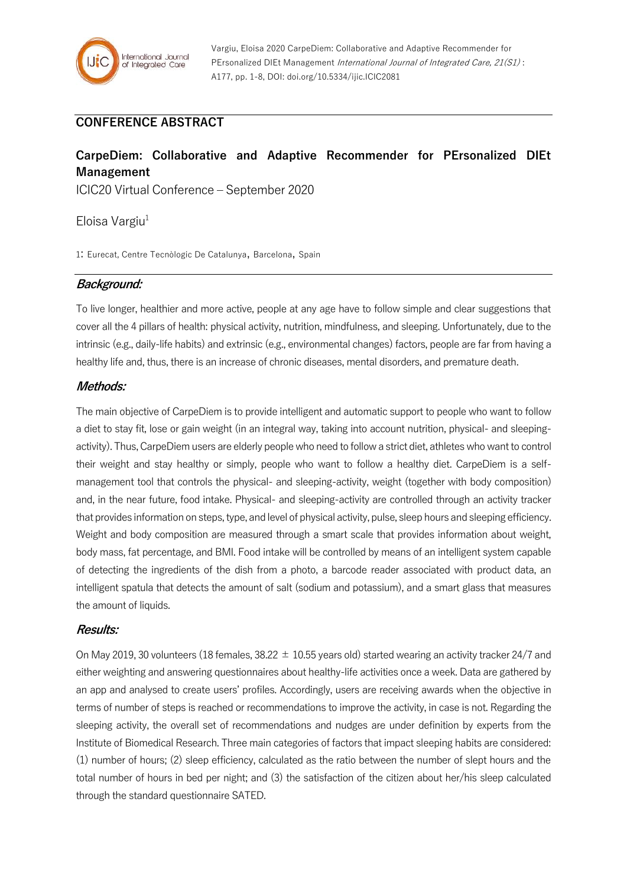# **CONFERENCE ABSTRACT**

# **CarpeDiem: Collaborative and Adaptive Recommender for PErsonalized DIEt Management**

ICIC20 Virtual Conference – September 2020

Eloisa Vargiu $1$ 

1: Eurecat, Centre Tecnòlogic De Catalunya, Barcelona, Spain

## **Background:**

To live longer, healthier and more active, people at any age have to follow simple and clear suggestions that cover all the 4 pillars of health: physical activity, nutrition, mindfulness, and sleeping. Unfortunately, due to the intrinsic (e.g., daily-life habits) and extrinsic (e.g., environmental changes) factors, people are far from having a healthy life and, thus, there is an increase of chronic diseases, mental disorders, and premature death.

### **Methods:**

The main objective of CarpeDiem is to provide intelligent and automatic support to people who want to follow a diet to stay fit, lose or gain weight (in an integral way, taking into account nutrition, physical- and sleepingactivity). Thus, CarpeDiem users are elderly people who need to follow a strict diet, athletes who want to control their weight and stay healthy or simply, people who want to follow a healthy diet. CarpeDiem is a selfmanagement tool that controls the physical- and sleeping-activity, weight (together with body composition) and, in the near future, food intake. Physical- and sleeping-activity are controlled through an activity tracker that provides information on steps, type, and level of physical activity, pulse, sleep hours and sleeping efficiency. Weight and body composition are measured through a smart scale that provides information about weight, body mass, fat percentage, and BMI. Food intake will be controlled by means of an intelligent system capable of detecting the ingredients of the dish from a photo, a barcode reader associated with product data, an intelligent spatula that detects the amount of salt (sodium and potassium), and a smart glass that measures the amount of liquids.

#### **Results:**

On May 2019, 30 volunteers (18 females, 38.22  $\pm$  10.55 years old) started wearing an activity tracker 24/7 and either weighting and answering questionnaires about healthy-life activities once a week. Data are gathered by an app and analysed to create users' profiles. Accordingly, users are receiving awards when the objective in terms of number of steps is reached or recommendations to improve the activity, in case is not. Regarding the sleeping activity, the overall set of recommendations and nudges are under definition by experts from the Institute of Biomedical Research. Three main categories of factors that impact sleeping habits are considered: (1) number of hours; (2) sleep efficiency, calculated as the ratio between the number of slept hours and the total number of hours in bed per night; and (3) the satisfaction of the citizen about her/his sleep calculated through the standard questionnaire SATED.